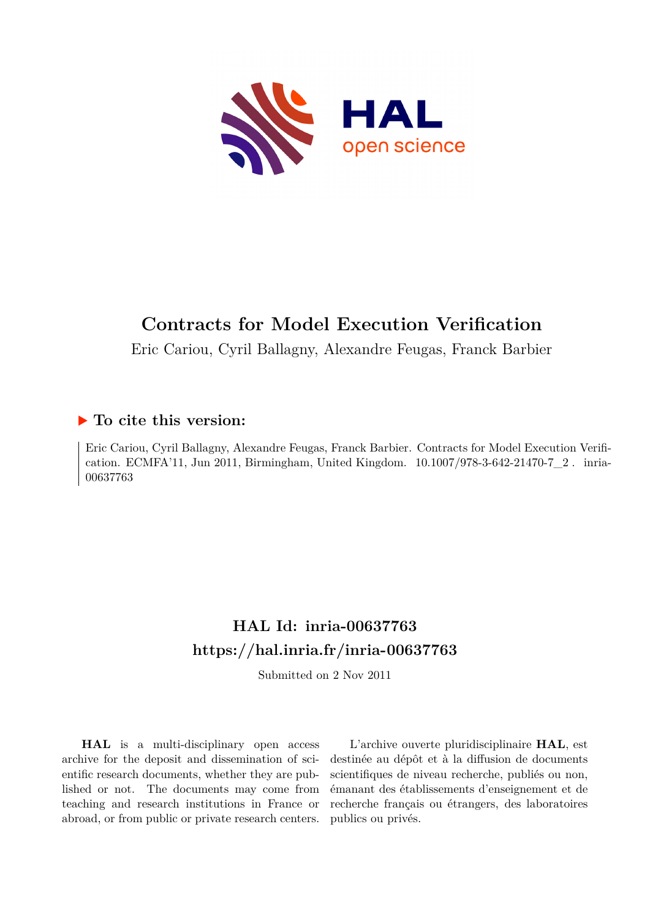

# **Contracts for Model Execution Verification**

Eric Cariou, Cyril Ballagny, Alexandre Feugas, Franck Barbier

# **To cite this version:**

Eric Cariou, Cyril Ballagny, Alexandre Feugas, Franck Barbier. Contracts for Model Execution Verification. ECMFA'11, Jun 2011, Birmingham, United Kingdom.  $10.1007/978-3-642-21470-7$  2. inria-00637763ff

# **HAL Id: inria-00637763 <https://hal.inria.fr/inria-00637763>**

Submitted on 2 Nov 2011

**HAL** is a multi-disciplinary open access archive for the deposit and dissemination of scientific research documents, whether they are published or not. The documents may come from teaching and research institutions in France or abroad, or from public or private research centers.

L'archive ouverte pluridisciplinaire **HAL**, est destinée au dépôt et à la diffusion de documents scientifiques de niveau recherche, publiés ou non, émanant des établissements d'enseignement et de recherche français ou étrangers, des laboratoires publics ou privés.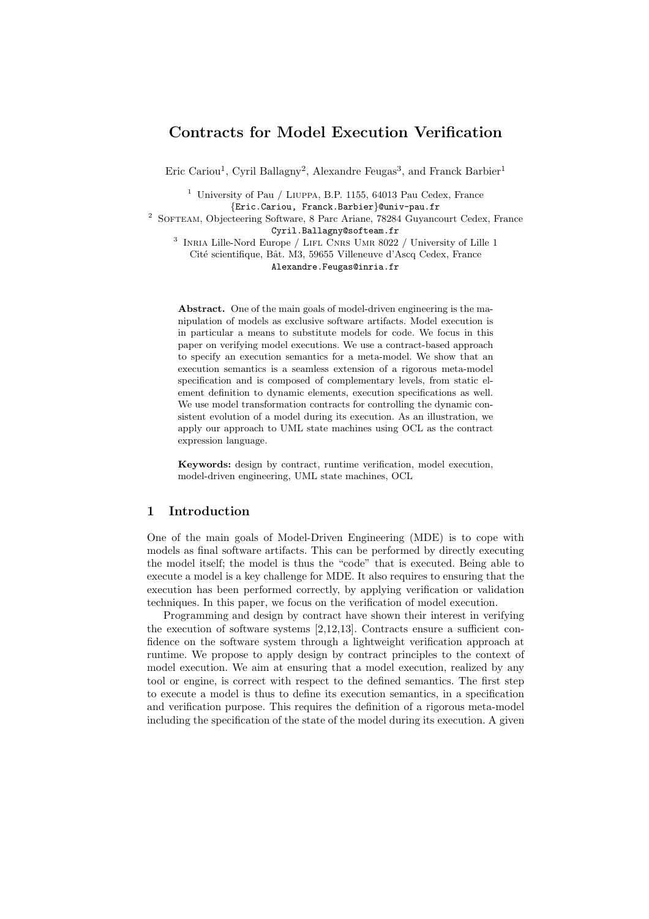# Contracts for Model Execution Verification

Eric Cariou<sup>1</sup>, Cyril Ballagny<sup>2</sup>, Alexandre Feugas<sup>3</sup>, and Franck Barbier<sup>1</sup>

<sup>1</sup> University of Pau / Liuppa, B.P. 1155, 64013 Pau Cedex, France {Eric.Cariou, Franck.Barbier}@univ-pau.fr

<sup>2</sup> SOFTEAM, Objecteering Software, 8 Parc Ariane, 78284 Guyancourt Cedex, France Cyril.Ballagny@softeam.fr

<sup>3</sup> INRIA Lille-Nord Europe / LIFL CNRS UMR 8022 / University of Lille 1 Cité scientifique, Bât. M3, 59655 Villeneuve d'Ascq Cedex, France Alexandre.Feugas@inria.fr

Abstract. One of the main goals of model-driven engineering is the manipulation of models as exclusive software artifacts. Model execution is in particular a means to substitute models for code. We focus in this paper on verifying model executions. We use a contract-based approach to specify an execution semantics for a meta-model. We show that an execution semantics is a seamless extension of a rigorous meta-model specification and is composed of complementary levels, from static element definition to dynamic elements, execution specifications as well. We use model transformation contracts for controlling the dynamic consistent evolution of a model during its execution. As an illustration, we apply our approach to UML state machines using OCL as the contract expression language.

Keywords: design by contract, runtime verification, model execution, model-driven engineering, UML state machines, OCL

#### 1 Introduction

One of the main goals of Model-Driven Engineering (MDE) is to cope with models as final software artifacts. This can be performed by directly executing the model itself; the model is thus the "code" that is executed. Being able to execute a model is a key challenge for MDE. It also requires to ensuring that the execution has been performed correctly, by applying verification or validation techniques. In this paper, we focus on the verification of model execution.

Programming and design by contract have shown their interest in verifying the execution of software systems [2,12,13]. Contracts ensure a sufficient confidence on the software system through a lightweight verification approach at runtime. We propose to apply design by contract principles to the context of model execution. We aim at ensuring that a model execution, realized by any tool or engine, is correct with respect to the defined semantics. The first step to execute a model is thus to define its execution semantics, in a specification and verification purpose. This requires the definition of a rigorous meta-model including the specification of the state of the model during its execution. A given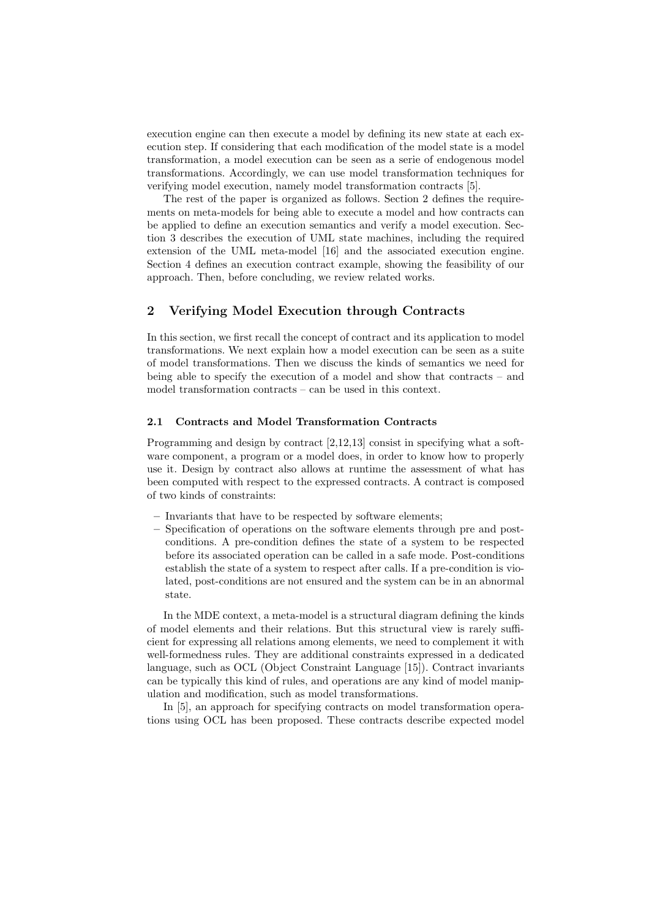execution engine can then execute a model by defining its new state at each execution step. If considering that each modification of the model state is a model transformation, a model execution can be seen as a serie of endogenous model transformations. Accordingly, we can use model transformation techniques for verifying model execution, namely model transformation contracts [5].

The rest of the paper is organized as follows. Section 2 defines the requirements on meta-models for being able to execute a model and how contracts can be applied to define an execution semantics and verify a model execution. Section 3 describes the execution of UML state machines, including the required extension of the UML meta-model [16] and the associated execution engine. Section 4 defines an execution contract example, showing the feasibility of our approach. Then, before concluding, we review related works.

### 2 Verifying Model Execution through Contracts

In this section, we first recall the concept of contract and its application to model transformations. We next explain how a model execution can be seen as a suite of model transformations. Then we discuss the kinds of semantics we need for being able to specify the execution of a model and show that contracts – and model transformation contracts – can be used in this context.

#### 2.1 Contracts and Model Transformation Contracts

Programming and design by contract [2,12,13] consist in specifying what a software component, a program or a model does, in order to know how to properly use it. Design by contract also allows at runtime the assessment of what has been computed with respect to the expressed contracts. A contract is composed of two kinds of constraints:

- Invariants that have to be respected by software elements;
- Specification of operations on the software elements through pre and postconditions. A pre-condition defines the state of a system to be respected before its associated operation can be called in a safe mode. Post-conditions establish the state of a system to respect after calls. If a pre-condition is violated, post-conditions are not ensured and the system can be in an abnormal state.

In the MDE context, a meta-model is a structural diagram defining the kinds of model elements and their relations. But this structural view is rarely sufficient for expressing all relations among elements, we need to complement it with well-formedness rules. They are additional constraints expressed in a dedicated language, such as OCL (Object Constraint Language [15]). Contract invariants can be typically this kind of rules, and operations are any kind of model manipulation and modification, such as model transformations.

In [5], an approach for specifying contracts on model transformation operations using OCL has been proposed. These contracts describe expected model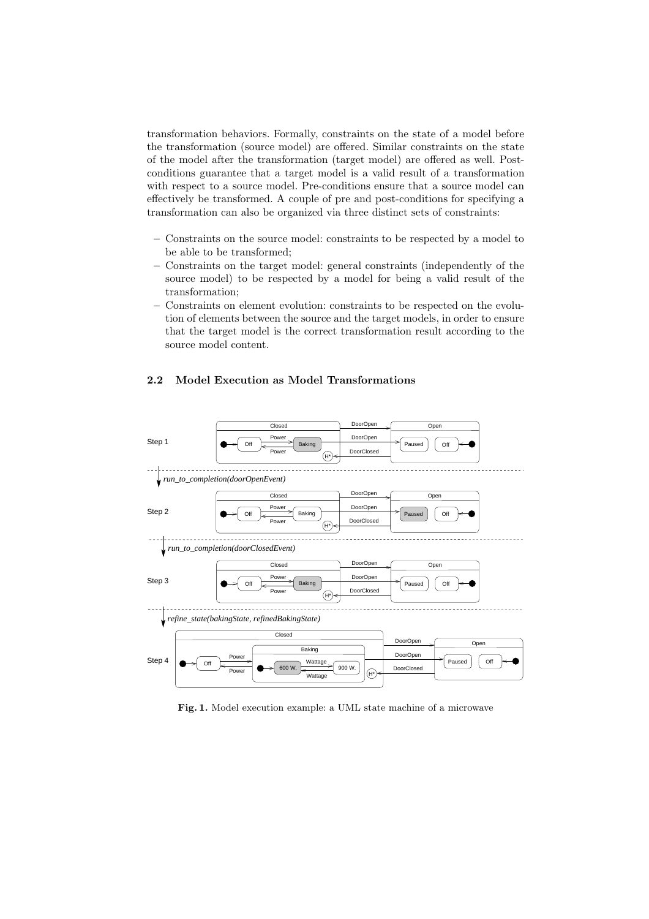transformation behaviors. Formally, constraints on the state of a model before the transformation (source model) are offered. Similar constraints on the state of the model after the transformation (target model) are offered as well. Postconditions guarantee that a target model is a valid result of a transformation with respect to a source model. Pre-conditions ensure that a source model can effectively be transformed. A couple of pre and post-conditions for specifying a transformation can also be organized via three distinct sets of constraints:

- Constraints on the source model: constraints to be respected by a model to be able to be transformed;
- Constraints on the target model: general constraints (independently of the source model) to be respected by a model for being a valid result of the transformation;
- Constraints on element evolution: constraints to be respected on the evolution of elements between the source and the target models, in order to ensure that the target model is the correct transformation result according to the source model content.



#### 2.2 Model Execution as Model Transformations

Fig. 1. Model execution example: a UML state machine of a microwave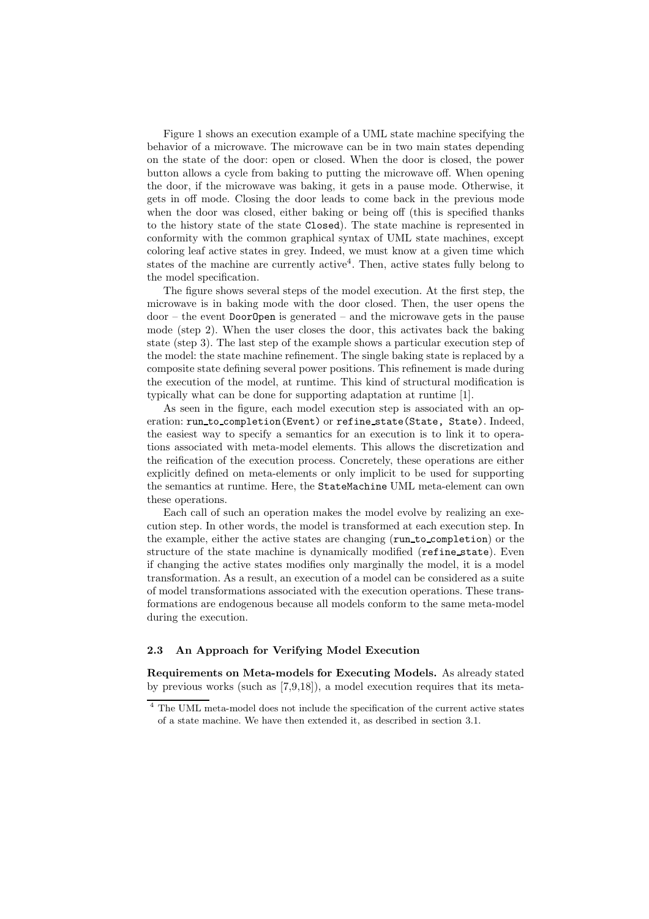Figure 1 shows an execution example of a UML state machine specifying the behavior of a microwave. The microwave can be in two main states depending on the state of the door: open or closed. When the door is closed, the power button allows a cycle from baking to putting the microwave off. When opening the door, if the microwave was baking, it gets in a pause mode. Otherwise, it gets in off mode. Closing the door leads to come back in the previous mode when the door was closed, either baking or being off (this is specified thanks to the history state of the state Closed). The state machine is represented in conformity with the common graphical syntax of UML state machines, except coloring leaf active states in grey. Indeed, we must know at a given time which states of the machine are currently active<sup>4</sup>. Then, active states fully belong to the model specification.

The figure shows several steps of the model execution. At the first step, the microwave is in baking mode with the door closed. Then, the user opens the door – the event DoorOpen is generated – and the microwave gets in the pause mode (step 2). When the user closes the door, this activates back the baking state (step 3). The last step of the example shows a particular execution step of the model: the state machine refinement. The single baking state is replaced by a composite state defining several power positions. This refinement is made during the execution of the model, at runtime. This kind of structural modification is typically what can be done for supporting adaptation at runtime [1].

As seen in the figure, each model execution step is associated with an operation: run to completion(Event) or refine state(State, State). Indeed, the easiest way to specify a semantics for an execution is to link it to operations associated with meta-model elements. This allows the discretization and the reification of the execution process. Concretely, these operations are either explicitly defined on meta-elements or only implicit to be used for supporting the semantics at runtime. Here, the StateMachine UML meta-element can own these operations.

Each call of such an operation makes the model evolve by realizing an execution step. In other words, the model is transformed at each execution step. In the example, either the active states are changing (run to completion) or the structure of the state machine is dynamically modified (refine\_state). Even if changing the active states modifies only marginally the model, it is a model transformation. As a result, an execution of a model can be considered as a suite of model transformations associated with the execution operations. These transformations are endogenous because all models conform to the same meta-model during the execution.

#### 2.3 An Approach for Verifying Model Execution

Requirements on Meta-models for Executing Models. As already stated by previous works (such as [7,9,18]), a model execution requires that its meta-

<sup>4</sup> The UML meta-model does not include the specification of the current active states of a state machine. We have then extended it, as described in section 3.1.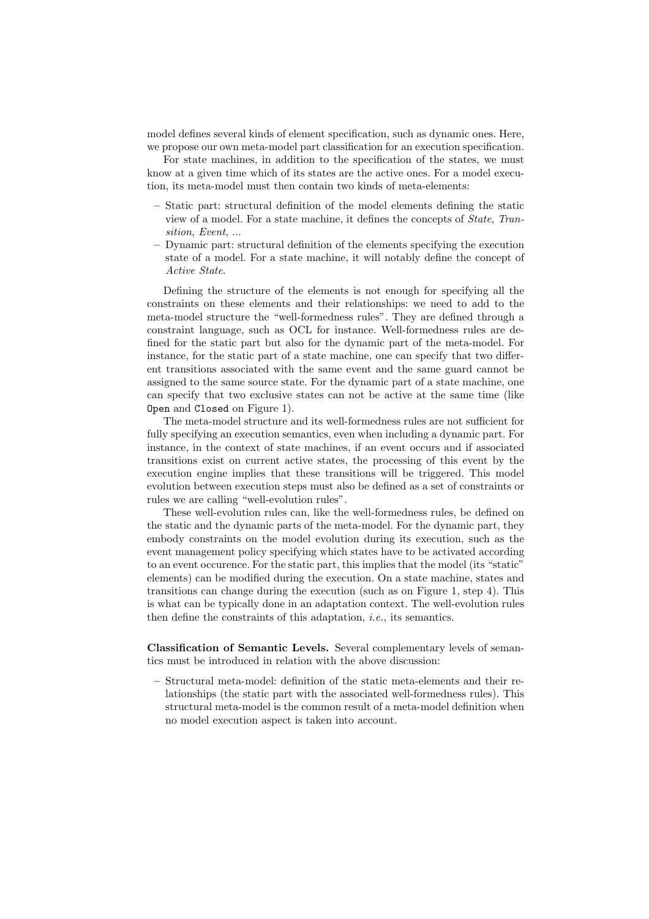model defines several kinds of element specification, such as dynamic ones. Here, we propose our own meta-model part classification for an execution specification.

For state machines, in addition to the specification of the states, we must know at a given time which of its states are the active ones. For a model execution, its meta-model must then contain two kinds of meta-elements:

- Static part: structural definition of the model elements defining the static view of a model. For a state machine, it defines the concepts of State, Transition, Event, ...
- Dynamic part: structural definition of the elements specifying the execution state of a model. For a state machine, it will notably define the concept of Active State.

Defining the structure of the elements is not enough for specifying all the constraints on these elements and their relationships: we need to add to the meta-model structure the "well-formedness rules". They are defined through a constraint language, such as OCL for instance. Well-formedness rules are defined for the static part but also for the dynamic part of the meta-model. For instance, for the static part of a state machine, one can specify that two different transitions associated with the same event and the same guard cannot be assigned to the same source state. For the dynamic part of a state machine, one can specify that two exclusive states can not be active at the same time (like Open and Closed on Figure 1).

The meta-model structure and its well-formedness rules are not sufficient for fully specifying an execution semantics, even when including a dynamic part. For instance, in the context of state machines, if an event occurs and if associated transitions exist on current active states, the processing of this event by the execution engine implies that these transitions will be triggered. This model evolution between execution steps must also be defined as a set of constraints or rules we are calling "well-evolution rules".

These well-evolution rules can, like the well-formedness rules, be defined on the static and the dynamic parts of the meta-model. For the dynamic part, they embody constraints on the model evolution during its execution, such as the event management policy specifying which states have to be activated according to an event occurence. For the static part, this implies that the model (its "static" elements) can be modified during the execution. On a state machine, states and transitions can change during the execution (such as on Figure 1, step 4). This is what can be typically done in an adaptation context. The well-evolution rules then define the constraints of this adaptation, i.e., its semantics.

Classification of Semantic Levels. Several complementary levels of semantics must be introduced in relation with the above discussion:

– Structural meta-model: definition of the static meta-elements and their relationships (the static part with the associated well-formedness rules). This structural meta-model is the common result of a meta-model definition when no model execution aspect is taken into account.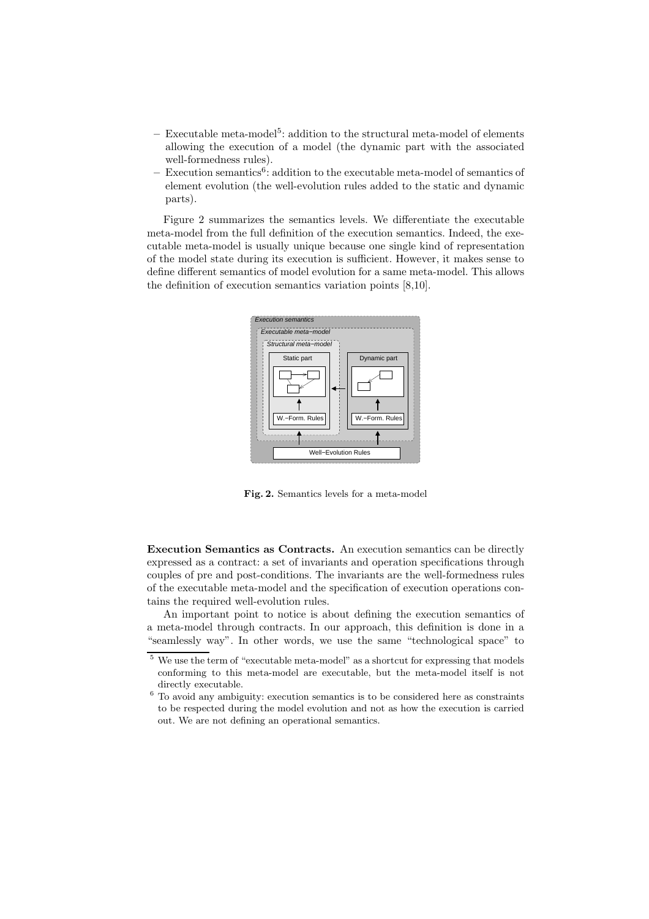- $-$  Executable meta-model<sup>5</sup>: addition to the structural meta-model of elements allowing the execution of a model (the dynamic part with the associated well-formedness rules).
- $-$  Execution semantics<sup>6</sup>: addition to the executable meta-model of semantics of element evolution (the well-evolution rules added to the static and dynamic parts).

Figure 2 summarizes the semantics levels. We differentiate the executable meta-model from the full definition of the execution semantics. Indeed, the executable meta-model is usually unique because one single kind of representation of the model state during its execution is sufficient. However, it makes sense to define different semantics of model evolution for a same meta-model. This allows the definition of execution semantics variation points [8,10].



Fig. 2. Semantics levels for a meta-model

Execution Semantics as Contracts. An execution semantics can be directly expressed as a contract: a set of invariants and operation specifications through couples of pre and post-conditions. The invariants are the well-formedness rules of the executable meta-model and the specification of execution operations contains the required well-evolution rules.

An important point to notice is about defining the execution semantics of a meta-model through contracts. In our approach, this definition is done in a "seamlessly way". In other words, we use the same "technological space" to

<sup>5</sup> We use the term of "executable meta-model" as a shortcut for expressing that models conforming to this meta-model are executable, but the meta-model itself is not directly executable.

 $6$  To avoid any ambiguity: execution semantics is to be considered here as constraints to be respected during the model evolution and not as how the execution is carried out. We are not defining an operational semantics.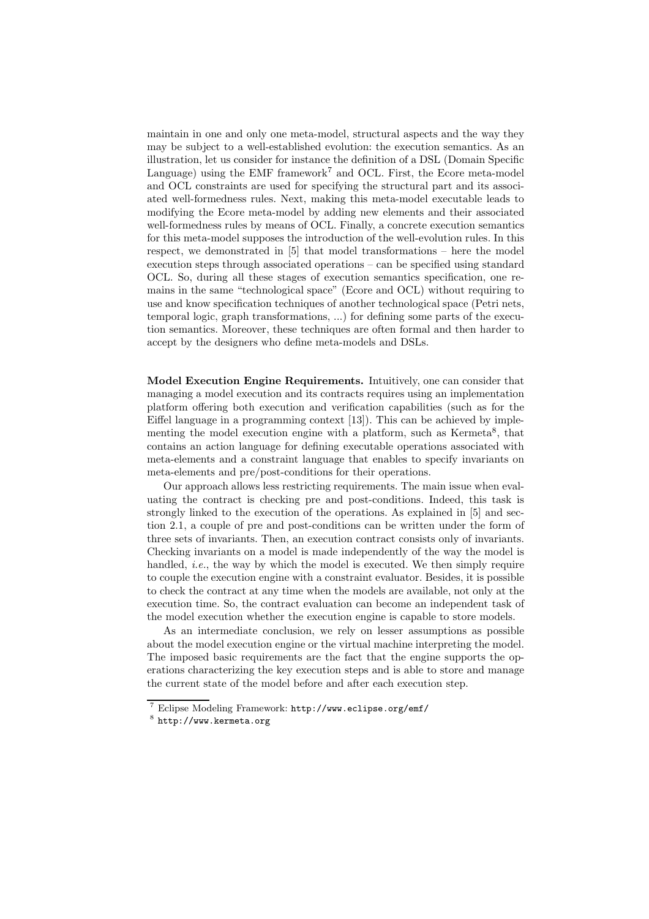maintain in one and only one meta-model, structural aspects and the way they may be subject to a well-established evolution: the execution semantics. As an illustration, let us consider for instance the definition of a DSL (Domain Specific Language) using the EMF framework<sup>7</sup> and OCL. First, the Ecore meta-model and OCL constraints are used for specifying the structural part and its associated well-formedness rules. Next, making this meta-model executable leads to modifying the Ecore meta-model by adding new elements and their associated well-formedness rules by means of OCL. Finally, a concrete execution semantics for this meta-model supposes the introduction of the well-evolution rules. In this respect, we demonstrated in [5] that model transformations – here the model execution steps through associated operations – can be specified using standard OCL. So, during all these stages of execution semantics specification, one remains in the same "technological space" (Ecore and OCL) without requiring to use and know specification techniques of another technological space (Petri nets, temporal logic, graph transformations, ...) for defining some parts of the execution semantics. Moreover, these techniques are often formal and then harder to accept by the designers who define meta-models and DSLs.

Model Execution Engine Requirements. Intuitively, one can consider that managing a model execution and its contracts requires using an implementation platform offering both execution and verification capabilities (such as for the Eiffel language in a programming context [13]). This can be achieved by implementing the model execution engine with a platform, such as Kermeta<sup>8</sup>, that contains an action language for defining executable operations associated with meta-elements and a constraint language that enables to specify invariants on meta-elements and pre/post-conditions for their operations.

Our approach allows less restricting requirements. The main issue when evaluating the contract is checking pre and post-conditions. Indeed, this task is strongly linked to the execution of the operations. As explained in [5] and section 2.1, a couple of pre and post-conditions can be written under the form of three sets of invariants. Then, an execution contract consists only of invariants. Checking invariants on a model is made independently of the way the model is handled, *i.e.*, the way by which the model is executed. We then simply require to couple the execution engine with a constraint evaluator. Besides, it is possible to check the contract at any time when the models are available, not only at the execution time. So, the contract evaluation can become an independent task of the model execution whether the execution engine is capable to store models.

As an intermediate conclusion, we rely on lesser assumptions as possible about the model execution engine or the virtual machine interpreting the model. The imposed basic requirements are the fact that the engine supports the operations characterizing the key execution steps and is able to store and manage the current state of the model before and after each execution step.

Eclipse Modeling Framework: http://www.eclipse.org/emf/

<sup>8</sup> http://www.kermeta.org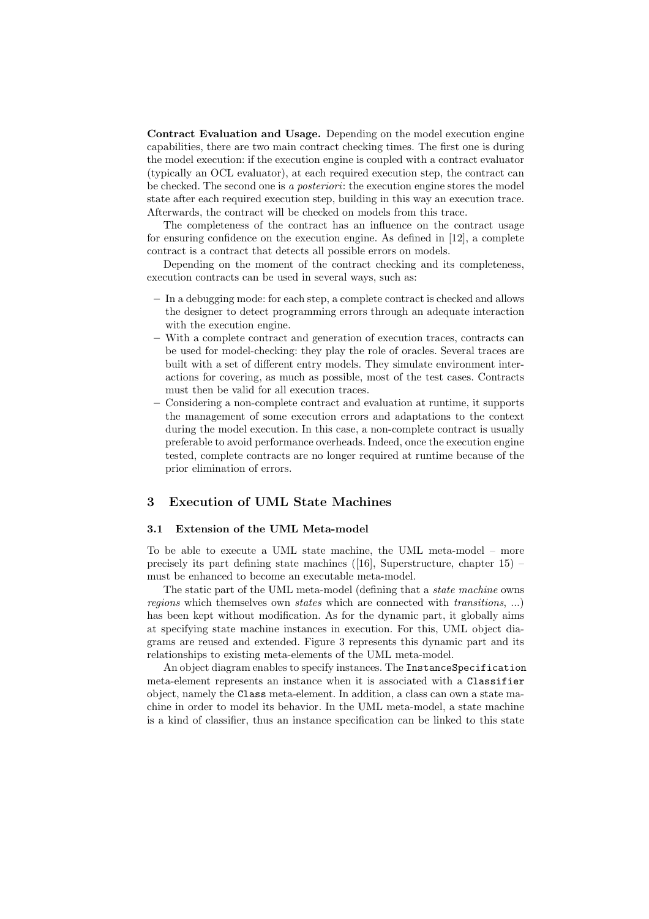Contract Evaluation and Usage. Depending on the model execution engine capabilities, there are two main contract checking times. The first one is during the model execution: if the execution engine is coupled with a contract evaluator (typically an OCL evaluator), at each required execution step, the contract can be checked. The second one is a posteriori: the execution engine stores the model state after each required execution step, building in this way an execution trace. Afterwards, the contract will be checked on models from this trace.

The completeness of the contract has an influence on the contract usage for ensuring confidence on the execution engine. As defined in [12], a complete contract is a contract that detects all possible errors on models.

Depending on the moment of the contract checking and its completeness, execution contracts can be used in several ways, such as:

- In a debugging mode: for each step, a complete contract is checked and allows the designer to detect programming errors through an adequate interaction with the execution engine.
- With a complete contract and generation of execution traces, contracts can be used for model-checking: they play the role of oracles. Several traces are built with a set of different entry models. They simulate environment interactions for covering, as much as possible, most of the test cases. Contracts must then be valid for all execution traces.
- Considering a non-complete contract and evaluation at runtime, it supports the management of some execution errors and adaptations to the context during the model execution. In this case, a non-complete contract is usually preferable to avoid performance overheads. Indeed, once the execution engine tested, complete contracts are no longer required at runtime because of the prior elimination of errors.

#### 3 Execution of UML State Machines

#### 3.1 Extension of the UML Meta-model

To be able to execute a UML state machine, the UML meta-model – more precisely its part defining state machines ([16], Superstructure, chapter 15) – must be enhanced to become an executable meta-model.

The static part of the UML meta-model (defining that a state machine owns regions which themselves own states which are connected with transitions, ...) has been kept without modification. As for the dynamic part, it globally aims at specifying state machine instances in execution. For this, UML object diagrams are reused and extended. Figure 3 represents this dynamic part and its relationships to existing meta-elements of the UML meta-model.

An object diagram enables to specify instances. The InstanceSpecification meta-element represents an instance when it is associated with a Classifier object, namely the Class meta-element. In addition, a class can own a state machine in order to model its behavior. In the UML meta-model, a state machine is a kind of classifier, thus an instance specification can be linked to this state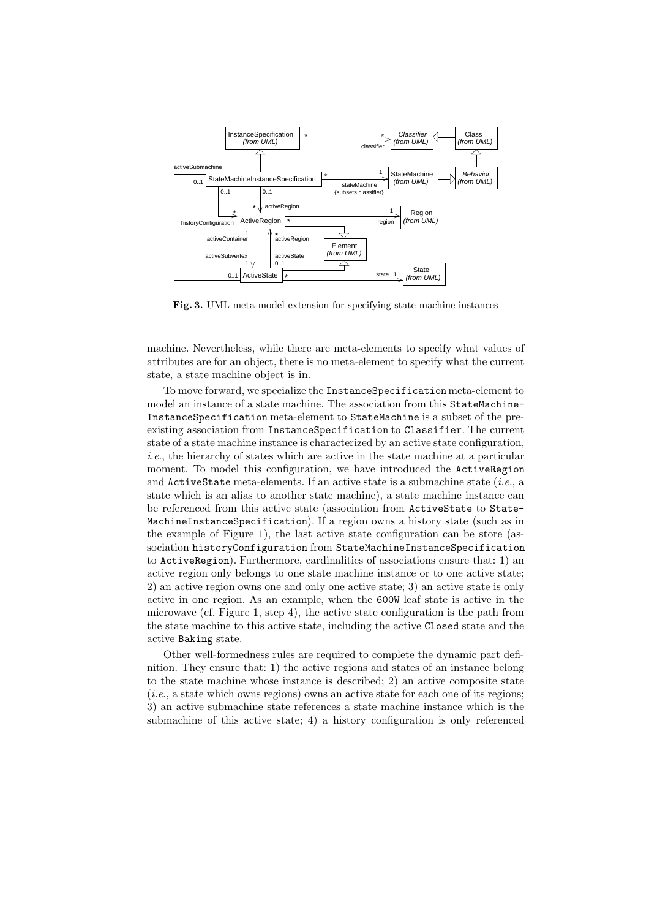

Fig. 3. UML meta-model extension for specifying state machine instances

machine. Nevertheless, while there are meta-elements to specify what values of attributes are for an object, there is no meta-element to specify what the current state, a state machine object is in.

To move forward, we specialize the InstanceSpecification meta-element to model an instance of a state machine. The association from this StateMachine-InstanceSpecification meta-element to StateMachine is a subset of the preexisting association from InstanceSpecification to Classifier. The current state of a state machine instance is characterized by an active state configuration, i.e., the hierarchy of states which are active in the state machine at a particular moment. To model this configuration, we have introduced the ActiveRegion and  $\texttt{ActiveState}$  meta-elements. If an active state is a submachine state (i.e., a state which is an alias to another state machine), a state machine instance can be referenced from this active state (association from ActiveState to State-MachineInstanceSpecification). If a region owns a history state (such as in the example of Figure 1), the last active state configuration can be store (association historyConfiguration from StateMachineInstanceSpecification to ActiveRegion). Furthermore, cardinalities of associations ensure that: 1) an active region only belongs to one state machine instance or to one active state; 2) an active region owns one and only one active state; 3) an active state is only active in one region. As an example, when the 600W leaf state is active in the microwave (cf. Figure 1, step 4), the active state configuration is the path from the state machine to this active state, including the active Closed state and the active Baking state.

Other well-formedness rules are required to complete the dynamic part definition. They ensure that: 1) the active regions and states of an instance belong to the state machine whose instance is described; 2) an active composite state  $(i.e., a state which owns regions) owns an active state for each one of its regions;$ 3) an active submachine state references a state machine instance which is the submachine of this active state; 4) a history configuration is only referenced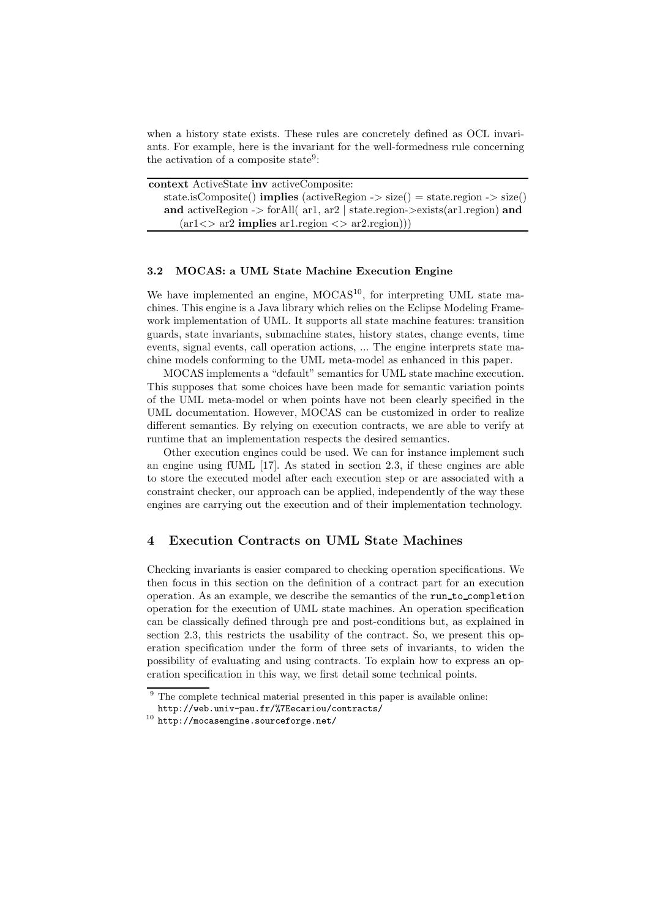when a history state exists. These rules are concretely defined as OCL invariants. For example, here is the invariant for the well-formedness rule concerning the activation of a composite state<sup>9</sup>:

| <b>context</b> ActiveState <b>inv</b> activeComposite:                                   |
|------------------------------------------------------------------------------------------|
| state.isComposite() implies (activeRegion -> size() = state.region -> size()             |
| and active Region $\geq$ for All( ar1, ar2   state region $\geq$ exists (ar1 region) and |
| $\arccos 1 \Rightarrow \arccos 2$ implies arl. region $\lt$ arl. region))                |

#### 3.2 MOCAS: a UML State Machine Execution Engine

We have implemented an engine, MOCAS<sup>10</sup>, for interpreting UML state machines. This engine is a Java library which relies on the Eclipse Modeling Framework implementation of UML. It supports all state machine features: transition guards, state invariants, submachine states, history states, change events, time events, signal events, call operation actions, ... The engine interprets state machine models conforming to the UML meta-model as enhanced in this paper.

MOCAS implements a "default" semantics for UML state machine execution. This supposes that some choices have been made for semantic variation points of the UML meta-model or when points have not been clearly specified in the UML documentation. However, MOCAS can be customized in order to realize different semantics. By relying on execution contracts, we are able to verify at runtime that an implementation respects the desired semantics.

Other execution engines could be used. We can for instance implement such an engine using fUML [17]. As stated in section 2.3, if these engines are able to store the executed model after each execution step or are associated with a constraint checker, our approach can be applied, independently of the way these engines are carrying out the execution and of their implementation technology.

#### 4 Execution Contracts on UML State Machines

Checking invariants is easier compared to checking operation specifications. We then focus in this section on the definition of a contract part for an execution operation. As an example, we describe the semantics of the run to completion operation for the execution of UML state machines. An operation specification can be classically defined through pre and post-conditions but, as explained in section 2.3, this restricts the usability of the contract. So, we present this operation specification under the form of three sets of invariants, to widen the possibility of evaluating and using contracts. To explain how to express an operation specification in this way, we first detail some technical points.

http://web.univ-pau.fr/%7Eecariou/contracts/

<sup>&</sup>lt;sup>9</sup> The complete technical material presented in this paper is available online:

<sup>10</sup> http://mocasengine.sourceforge.net/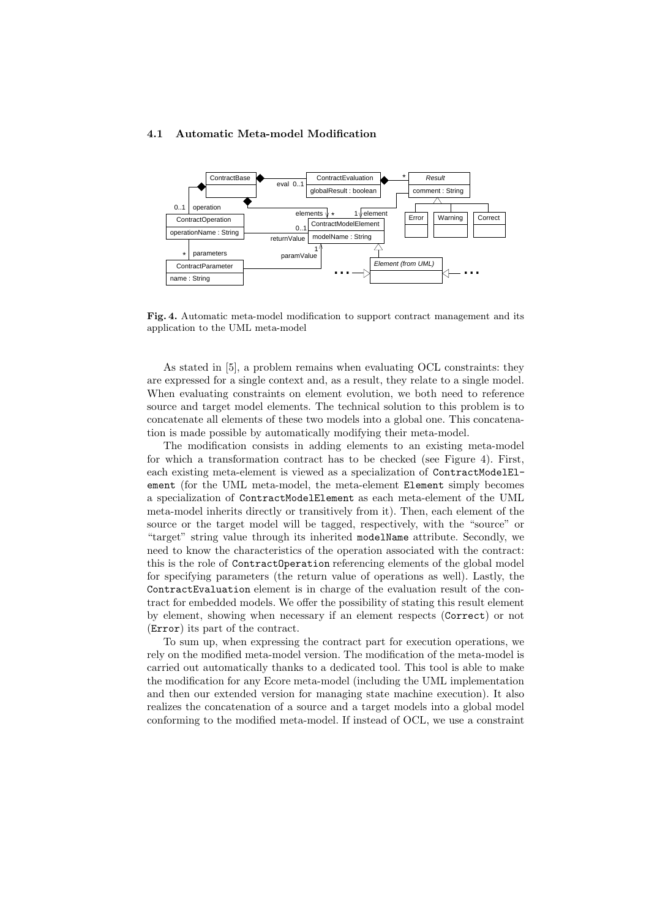#### 4.1 Automatic Meta-model Modification



Fig. 4. Automatic meta-model modification to support contract management and its application to the UML meta-model

As stated in [5], a problem remains when evaluating OCL constraints: they are expressed for a single context and, as a result, they relate to a single model. When evaluating constraints on element evolution, we both need to reference source and target model elements. The technical solution to this problem is to concatenate all elements of these two models into a global one. This concatenation is made possible by automatically modifying their meta-model.

The modification consists in adding elements to an existing meta-model for which a transformation contract has to be checked (see Figure 4). First, each existing meta-element is viewed as a specialization of ContractModelElement (for the UML meta-model, the meta-element Element simply becomes a specialization of ContractModelElement as each meta-element of the UML meta-model inherits directly or transitively from it). Then, each element of the source or the target model will be tagged, respectively, with the "source" or "target" string value through its inherited modelName attribute. Secondly, we need to know the characteristics of the operation associated with the contract: this is the role of ContractOperation referencing elements of the global model for specifying parameters (the return value of operations as well). Lastly, the ContractEvaluation element is in charge of the evaluation result of the contract for embedded models. We offer the possibility of stating this result element by element, showing when necessary if an element respects (Correct) or not (Error) its part of the contract.

To sum up, when expressing the contract part for execution operations, we rely on the modified meta-model version. The modification of the meta-model is carried out automatically thanks to a dedicated tool. This tool is able to make the modification for any Ecore meta-model (including the UML implementation and then our extended version for managing state machine execution). It also realizes the concatenation of a source and a target models into a global model conforming to the modified meta-model. If instead of OCL, we use a constraint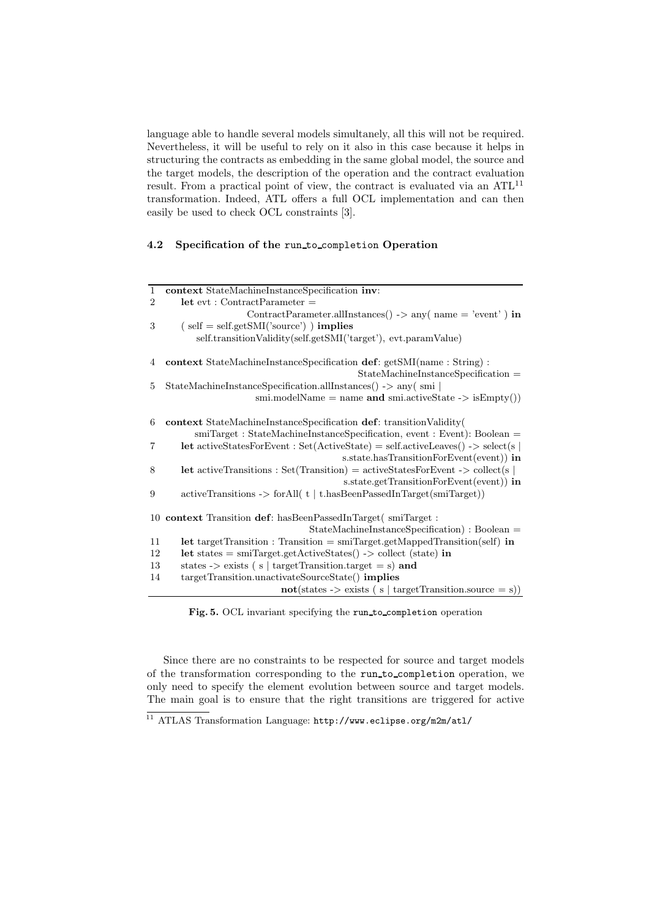language able to handle several models simultanely, all this will not be required. Nevertheless, it will be useful to rely on it also in this case because it helps in structuring the contracts as embedding in the same global model, the source and the target models, the description of the operation and the contract evaluation result. From a practical point of view, the contract is evaluated via an ATL<sup>11</sup> transformation. Indeed, ATL offers a full OCL implementation and can then easily be used to check OCL constraints [3].

#### 4.2 Specification of the run to completion Operation

| $\mathbf{1}$   | context StateMachineInstanceSpecification inv:                                                         |
|----------------|--------------------------------------------------------------------------------------------------------|
| $\overline{2}$ | $let$ evt : ContractParameter $=$                                                                      |
|                | $ContractParameter. all Instantes() \rightarrow any ( name = 'event') in$                              |
| 3              | $(self = self.getSMI('source') )$ implies                                                              |
|                | self.transitionValidity(self.getSMI('target'), evt.paramValue)                                         |
| 4              | <b>context</b> StateMachineInstanceSpecification <b>def</b> : getSMI(name: String):                    |
|                | $StateMachineInstanceSpecification =$                                                                  |
| 5              | $StateMachineInstanceSpecial instances() \rightarrow any(\; smi \;  $                                  |
|                | smi.modelName = name and smi.activeState -> isEmpty())                                                 |
|                |                                                                                                        |
| 6              | context StateMachineInstanceSpecification def: transitionValidity(                                     |
|                | smiTarget: StateMachineInstanceSpecification, event: Event): Boolean =                                 |
| 7              | let activeStatesForEvent : Set(ActiveState) = self.activeLeaves() -> select(s                          |
|                | s.state.hasTransitionForEvent(event)) in                                                               |
| 8              | <b>let</b> activeTransitions : Set(Transition) = activeStatesForEvent -> collect(s                     |
|                | s.state.getTransitionForEvent(event)) in                                                               |
| 9              | $activeTransitions$ -> for All( $t$   t.hasBeenPassedInTarget(smiTarget))                              |
|                |                                                                                                        |
|                | 10 context Transition def: hasBeenPassedInTarget (smiTarget:                                           |
|                | $StateMachineInstanceSpecialization): Boolean =$                                                       |
| 11             | let targetTransition : Transition = $\text{smTarget.getMapped Transition(self)}$ in                    |
| 12             | $let$ states = smiTarget.getActiveStates() -> collect (state) in                                       |
| 13             | states $\rightarrow$ exists (s   target Transition.target = s) and                                     |
| 14             | targetTransition.unactivateSourceState() implies                                                       |
|                | $\text{not}(\text{states} \rightarrow \text{exists} \ (\ s \   \ \text{target}$ Transition.source = s) |

Fig. 5. OCL invariant specifying the run to completion operation

Since there are no constraints to be respected for source and target models of the transformation corresponding to the run to completion operation, we only need to specify the element evolution between source and target models. The main goal is to ensure that the right transitions are triggered for active

<sup>11</sup> ATLAS Transformation Language: http://www.eclipse.org/m2m/atl/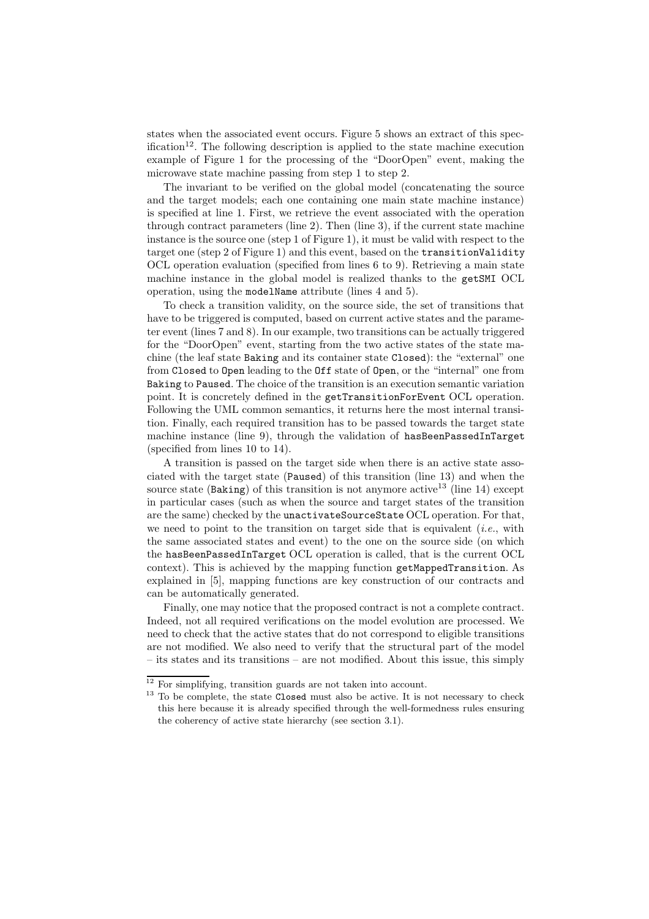states when the associated event occurs. Figure 5 shows an extract of this specification<sup>12</sup>. The following description is applied to the state machine execution example of Figure 1 for the processing of the "DoorOpen" event, making the microwave state machine passing from step 1 to step 2.

The invariant to be verified on the global model (concatenating the source and the target models; each one containing one main state machine instance) is specified at line 1. First, we retrieve the event associated with the operation through contract parameters (line 2). Then (line 3), if the current state machine instance is the source one (step 1 of Figure 1), it must be valid with respect to the target one (step 2 of Figure 1) and this event, based on the transitionValidity OCL operation evaluation (specified from lines 6 to 9). Retrieving a main state machine instance in the global model is realized thanks to the getSMI OCL operation, using the modelName attribute (lines 4 and 5).

To check a transition validity, on the source side, the set of transitions that have to be triggered is computed, based on current active states and the parameter event (lines 7 and 8). In our example, two transitions can be actually triggered for the "DoorOpen" event, starting from the two active states of the state machine (the leaf state Baking and its container state Closed): the "external" one from Closed to Open leading to the Off state of Open, or the "internal" one from Baking to Paused. The choice of the transition is an execution semantic variation point. It is concretely defined in the getTransitionForEvent OCL operation. Following the UML common semantics, it returns here the most internal transition. Finally, each required transition has to be passed towards the target state machine instance (line 9), through the validation of hasBeenPassedInTarget (specified from lines 10 to 14).

A transition is passed on the target side when there is an active state associated with the target state (Paused) of this transition (line 13) and when the source state (Baking) of this transition is not anymore active<sup>13</sup> (line 14) except in particular cases (such as when the source and target states of the transition are the same) checked by the unactivateSourceState OCL operation. For that, we need to point to the transition on target side that is equivalent (*i.e.*, with the same associated states and event) to the one on the source side (on which the hasBeenPassedInTarget OCL operation is called, that is the current OCL context). This is achieved by the mapping function getMappedTransition. As explained in [5], mapping functions are key construction of our contracts and can be automatically generated.

Finally, one may notice that the proposed contract is not a complete contract. Indeed, not all required verifications on the model evolution are processed. We need to check that the active states that do not correspond to eligible transitions are not modified. We also need to verify that the structural part of the model – its states and its transitions – are not modified. About this issue, this simply

<sup>12</sup> For simplifying, transition guards are not taken into account.

<sup>&</sup>lt;sup>13</sup> To be complete, the state Closed must also be active. It is not necessary to check this here because it is already specified through the well-formedness rules ensuring the coherency of active state hierarchy (see section 3.1).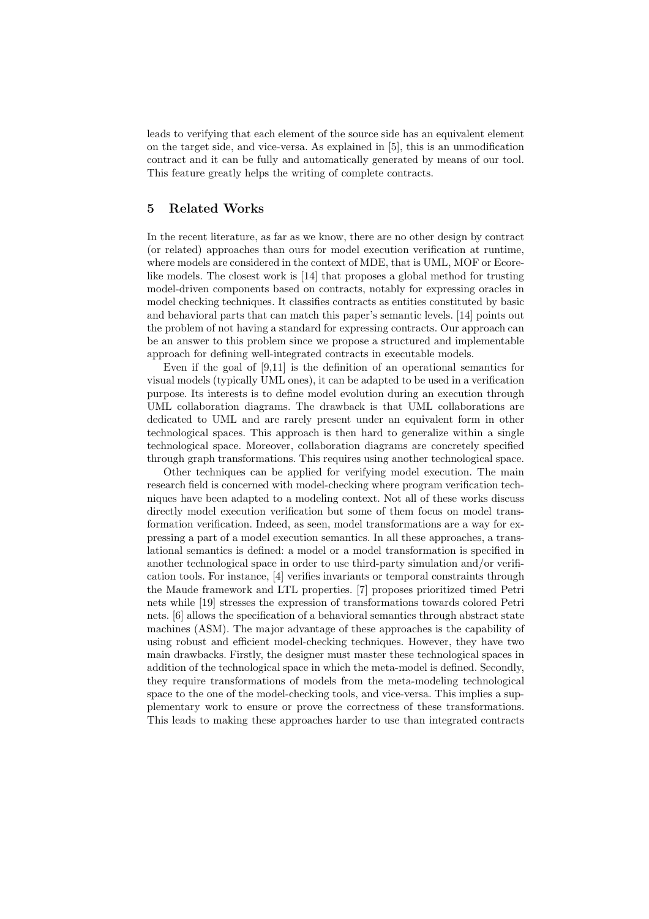leads to verifying that each element of the source side has an equivalent element on the target side, and vice-versa. As explained in [5], this is an unmodification contract and it can be fully and automatically generated by means of our tool. This feature greatly helps the writing of complete contracts.

# 5 Related Works

In the recent literature, as far as we know, there are no other design by contract (or related) approaches than ours for model execution verification at runtime, where models are considered in the context of MDE, that is UML, MOF or Ecorelike models. The closest work is [14] that proposes a global method for trusting model-driven components based on contracts, notably for expressing oracles in model checking techniques. It classifies contracts as entities constituted by basic and behavioral parts that can match this paper's semantic levels. [14] points out the problem of not having a standard for expressing contracts. Our approach can be an answer to this problem since we propose a structured and implementable approach for defining well-integrated contracts in executable models.

Even if the goal of [9,11] is the definition of an operational semantics for visual models (typically UML ones), it can be adapted to be used in a verification purpose. Its interests is to define model evolution during an execution through UML collaboration diagrams. The drawback is that UML collaborations are dedicated to UML and are rarely present under an equivalent form in other technological spaces. This approach is then hard to generalize within a single technological space. Moreover, collaboration diagrams are concretely specified through graph transformations. This requires using another technological space.

Other techniques can be applied for verifying model execution. The main research field is concerned with model-checking where program verification techniques have been adapted to a modeling context. Not all of these works discuss directly model execution verification but some of them focus on model transformation verification. Indeed, as seen, model transformations are a way for expressing a part of a model execution semantics. In all these approaches, a translational semantics is defined: a model or a model transformation is specified in another technological space in order to use third-party simulation and/or verification tools. For instance, [4] verifies invariants or temporal constraints through the Maude framework and LTL properties. [7] proposes prioritized timed Petri nets while [19] stresses the expression of transformations towards colored Petri nets. [6] allows the specification of a behavioral semantics through abstract state machines (ASM). The major advantage of these approaches is the capability of using robust and efficient model-checking techniques. However, they have two main drawbacks. Firstly, the designer must master these technological spaces in addition of the technological space in which the meta-model is defined. Secondly, they require transformations of models from the meta-modeling technological space to the one of the model-checking tools, and vice-versa. This implies a supplementary work to ensure or prove the correctness of these transformations. This leads to making these approaches harder to use than integrated contracts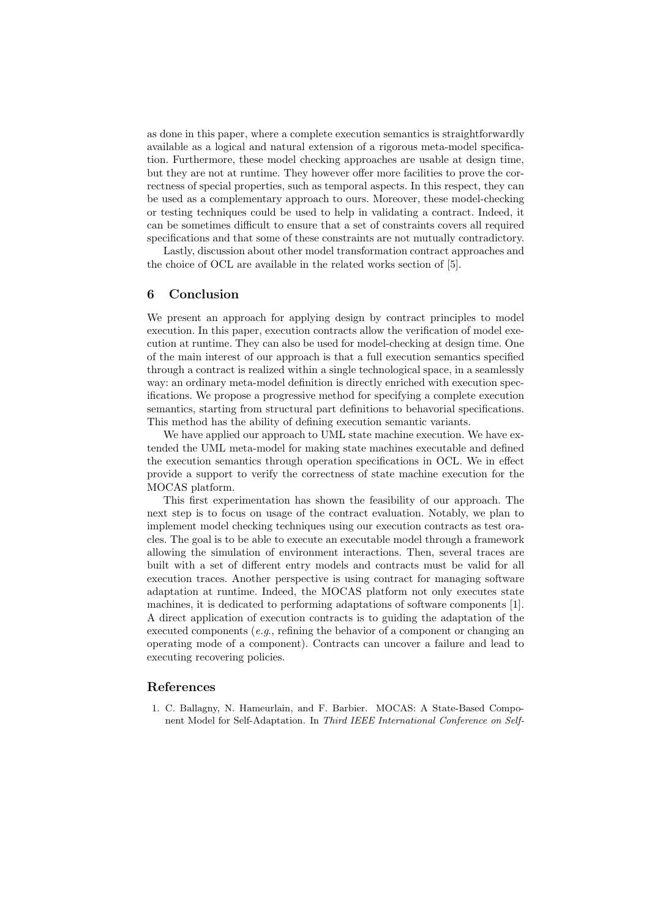as done in this paper, where a complete execution semantics is straightforwardly available as a logical and natural extension of a rigorous meta-model specification. Furthermore, these model checking approaches are usable at design time, but they are not at runtime. They however offer more facilities to prove the correctness of special properties, such as temporal aspects. In this respect, they can be used as a complementary approach to ours. Moreover, these model-checking or testing techniques could be used to help in validating a contract. Indeed, it can be sometimes difficult to ensure that a set of constraints covers all required specifications and that some of these constraints are not mutually contradictory.

Lastly, discussion about other model transformation contract approaches and the choice of OCL are available in the related works section of [5].

### 6 Conclusion

We present an approach for applying design by contract principles to model execution. In this paper, execution contracts allow the verification of model execution at runtime. They can also be used for model-checking at design time. One of the main interest of our approach is that a full execution semantics specified through a contract is realized within a single technological space, in a seamlessly way: an ordinary meta-model definition is directly enriched with execution specifications. We propose a progressive method for specifying a complete execution semantics, starting from structural part definitions to behavorial specifications. This method has the ability of defining execution semantic variants.

We have applied our approach to UML state machine execution. We have extended the UML meta-model for making state machines executable and defined the execution semantics through operation specifications in OCL. We in effect provide a support to verify the correctness of state machine execution for the MOCAS platform.

This first experimentation has shown the feasibility of our approach. The next step is to focus on usage of the contract evaluation. Notably, we plan to implement model checking techniques using our execution contracts as test oracles. The goal is to be able to execute an executable model through a framework allowing the simulation of environment interactions. Then, several traces are built with a set of different entry models and contracts must be valid for all execution traces. Another perspective is using contract for managing software adaptation at runtime. Indeed, the MOCAS platform not only executes state machines, it is dedicated to performing adaptations of software components [1]. A direct application of execution contracts is to guiding the adaptation of the executed components  $(e, q)$ , refining the behavior of a component or changing an operating mode of a component). Contracts can uncover a failure and lead to executing recovering policies.

## References

1. C. Ballagny, N. Hameurlain, and F. Barbier. MOCAS: A State-Based Component Model for Self-Adaptation. In *Third IEEE International Conference on Self-*